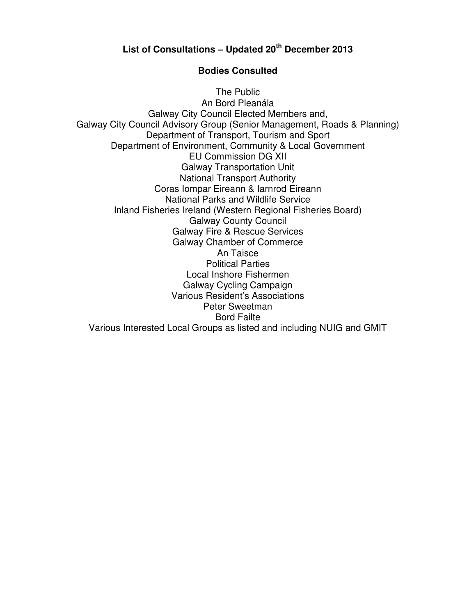## **List of Consultations – Updated 20 th December 2013**

## **Bodies Consulted**

The Public An Bord Pleanála Galway City Council Elected Members and, Galway City Council Advisory Group (Senior Management, Roads & Planning) Department of Transport, Tourism and Sport Department of Environment, Community & Local Government EU Commission DG XII Galway Transportation Unit National Transport Authority Coras Iompar Eireann & Iarnrod Eireann National Parks and Wildlife Service Inland Fisheries Ireland (Western Regional Fisheries Board) Galway County Council Galway Fire & Rescue Services Galway Chamber of Commerce An Taisce Political Parties Local Inshore Fishermen Galway Cycling Campaign Various Resident's Associations Peter Sweetman Bord Failte Various Interested Local Groups as listed and including NUIG and GMIT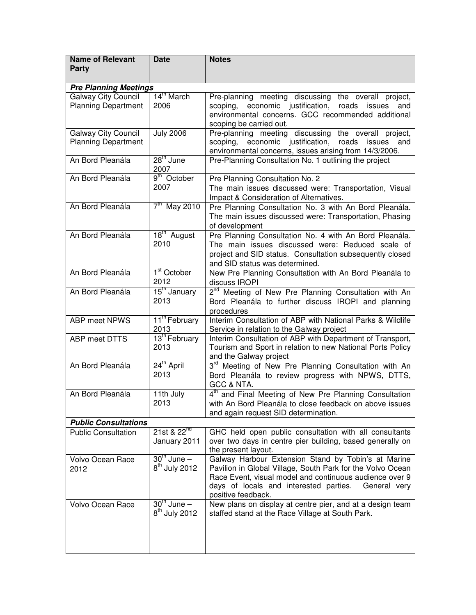| <b>Name of Relevant</b><br>Party                         | <b>Date</b>                             | <b>Notes</b>                                                                                                                                                                                                                                              |
|----------------------------------------------------------|-----------------------------------------|-----------------------------------------------------------------------------------------------------------------------------------------------------------------------------------------------------------------------------------------------------------|
| <b>Pre Planning Meetings</b>                             |                                         |                                                                                                                                                                                                                                                           |
| <b>Galway City Council</b><br><b>Planning Department</b> | 14 <sup>th</sup> March<br>2006          | Pre-planning meeting discussing the overall project,<br>scoping, economic justification,<br>roads issues<br>and<br>environmental concerns. GCC recommended additional<br>scoping be carried out.                                                          |
| <b>Galway City Council</b><br><b>Planning Department</b> | <b>July 2006</b>                        | Pre-planning meeting discussing the overall project,<br>scoping, economic justification, roads<br>issues<br>and<br>environmental concerns, issues arising from 14/3/2006.                                                                                 |
| An Bord Pleanála                                         | 28 <sup>th</sup> June<br>2007           | Pre-Planning Consultation No. 1 outlining the project                                                                                                                                                                                                     |
| An Bord Pleanála                                         | 9 <sup>th</sup> October<br>2007         | Pre Planning Consultation No. 2<br>The main issues discussed were: Transportation, Visual<br>Impact & Consideration of Alternatives.                                                                                                                      |
| An Bord Pleanála                                         | $7th$ May 2010                          | Pre Planning Consultation No. 3 with An Bord Pleanála.<br>The main issues discussed were: Transportation, Phasing<br>of development                                                                                                                       |
| An Bord Pleanála                                         | $18^{\text{th}}$ August<br>2010         | Pre Planning Consultation No. 4 with An Bord Pleanála.<br>The main issues discussed were: Reduced scale of<br>project and SID status. Consultation subsequently closed<br>and SID status was determined.                                                  |
| An Bord Pleanála                                         | 1 <sup>st</sup> October<br>2012         | New Pre Planning Consultation with An Bord Pleanála to<br>discuss IROPI                                                                                                                                                                                   |
| An Bord Pleanála                                         | 15 <sup>th</sup> January<br>2013        | 2 <sup>nd</sup> Meeting of New Pre Planning Consultation with An<br>Bord Pleanála to further discuss IROPI and planning<br>procedures                                                                                                                     |
| ABP meet NPWS                                            | $11^{\text{th}}$ February<br>2013       | Interim Consultation of ABP with National Parks & Wildlife<br>Service in relation to the Galway project                                                                                                                                                   |
| <b>ABP</b> meet DTTS                                     | 13 <sup>th</sup> February<br>2013       | Interim Consultation of ABP with Department of Transport,<br>Tourism and Sport in relation to new National Ports Policy<br>and the Galway project                                                                                                         |
| An Bord Pleanála                                         | 24 <sup>th</sup> April<br>2013          | 3 <sup>rd</sup> Meeting of New Pre Planning Consultation with An<br>Bord Pleanála to review progress with NPWS, DTTS,<br>GCC & NTA.                                                                                                                       |
| An Bord Pleanála                                         | 11th July<br>2013                       | 4 <sup>th</sup> and Final Meeting of New Pre Planning Consultation<br>with An Bord Pleanála to close feedback on above issues<br>and again request SID determination.                                                                                     |
| <b>Public Consultations</b>                              |                                         |                                                                                                                                                                                                                                                           |
| <b>Public Consultation</b>                               | 21st & 22 <sup>nd</sup><br>January 2011 | GHC held open public consultation with all consultants<br>over two days in centre pier building, based generally on<br>the present layout.                                                                                                                |
| Volvo Ocean Race<br>2012                                 | $30th$ June $-$<br>$8th$ July 2012      | Galway Harbour Extension Stand by Tobin's at Marine<br>Pavilion in Global Village, South Park for the Volvo Ocean<br>Race Event, visual model and continuous audience over 9<br>days of locals and interested parties. General very<br>positive feedback. |
| Volvo Ocean Race                                         | $30th$ June $-$<br>$8th$ July 2012      | New plans on display at centre pier, and at a design team<br>staffed stand at the Race Village at South Park.                                                                                                                                             |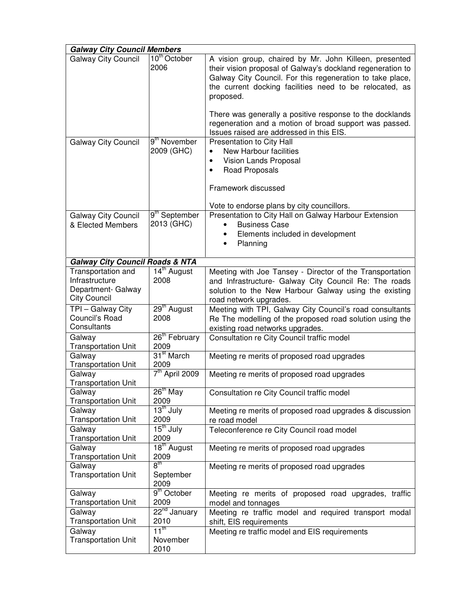| <b>Galway City Council Members</b>                                                |                                      |                                                                                                                                                                                                                                                                                                                                                                                                                             |
|-----------------------------------------------------------------------------------|--------------------------------------|-----------------------------------------------------------------------------------------------------------------------------------------------------------------------------------------------------------------------------------------------------------------------------------------------------------------------------------------------------------------------------------------------------------------------------|
| <b>Galway City Council</b>                                                        | 10 <sup>th</sup> October<br>2006     | A vision group, chaired by Mr. John Killeen, presented<br>their vision proposal of Galway's dockland regeneration to<br>Galway City Council. For this regeneration to take place,<br>the current docking facilities need to be relocated, as<br>proposed.<br>There was generally a positive response to the docklands<br>regeneration and a motion of broad support was passed.<br>Issues raised are addressed in this EIS. |
| <b>Galway City Council</b>                                                        | 9 <sup>th</sup> November             | Presentation to City Hall                                                                                                                                                                                                                                                                                                                                                                                                   |
|                                                                                   | 2009 (GHC)                           | New Harbour facilities<br>$\bullet$<br>Vision Lands Proposal<br>Road Proposals<br>Framework discussed                                                                                                                                                                                                                                                                                                                       |
|                                                                                   | 9 <sup>th</sup> September            | Vote to endorse plans by city councillors.<br>Presentation to City Hall on Galway Harbour Extension                                                                                                                                                                                                                                                                                                                         |
| <b>Galway City Council</b><br>& Elected Members                                   | 2013 (GHC)                           | <b>Business Case</b><br>Elements included in development<br>Planning                                                                                                                                                                                                                                                                                                                                                        |
| <b>Galway City Council Roads &amp; NTA</b>                                        |                                      |                                                                                                                                                                                                                                                                                                                                                                                                                             |
| Transportation and<br>Infrastructure<br>Department- Galway<br><b>City Council</b> | 14 <sup>th</sup> August<br>2008      | Meeting with Joe Tansey - Director of the Transportation<br>and Infrastructure- Galway City Council Re: The roads<br>solution to the New Harbour Galway using the existing<br>road network upgrades.                                                                                                                                                                                                                        |
| TPI - Galway City<br>Council's Road<br>Consultants                                | 29 <sup>th</sup> August<br>2008      | Meeting with TPI, Galway City Council's road consultants<br>Re The modelling of the proposed road solution using the<br>existing road networks upgrades.                                                                                                                                                                                                                                                                    |
| Galway<br><b>Transportation Unit</b>                                              | 26 <sup>th</sup> February<br>2009    | Consultation re City Council traffic model                                                                                                                                                                                                                                                                                                                                                                                  |
| Galway<br><b>Transportation Unit</b>                                              | 31 <sup>st</sup> March<br>2009       | Meeting re merits of proposed road upgrades                                                                                                                                                                                                                                                                                                                                                                                 |
| Galway<br><b>Transportation Unit</b>                                              | 7 <sup>th</sup> April 2009           | Meeting re merits of proposed road upgrades                                                                                                                                                                                                                                                                                                                                                                                 |
| Galway<br><b>Transportation Unit</b>                                              | $26th$ May<br>2009                   | Consultation re City Council traffic model                                                                                                                                                                                                                                                                                                                                                                                  |
| Galway<br><b>Transportation Unit</b>                                              | 13 <sup>th</sup> July<br>2009        | Meeting re merits of proposed road upgrades & discussion<br>re road model                                                                                                                                                                                                                                                                                                                                                   |
| Galway<br><b>Transportation Unit</b>                                              | 15 <sup>th</sup> July<br>2009        | Teleconference re City Council road model                                                                                                                                                                                                                                                                                                                                                                                   |
| Galway<br><b>Transportation Unit</b>                                              | 18 <sup>th</sup> August<br>2009      | Meeting re merits of proposed road upgrades                                                                                                                                                                                                                                                                                                                                                                                 |
| Galway<br><b>Transportation Unit</b>                                              | $8^{\sf th}$<br>September<br>2009    | Meeting re merits of proposed road upgrades                                                                                                                                                                                                                                                                                                                                                                                 |
| Galway<br><b>Transportation Unit</b>                                              | 9 <sup>th</sup> October<br>2009      | Meeting re merits of proposed road upgrades, traffic<br>model and tonnages                                                                                                                                                                                                                                                                                                                                                  |
| Galway<br><b>Transportation Unit</b>                                              | 22 <sup>nd</sup> January<br>2010     | Meeting re traffic model and required transport modal<br>shift, EIS requirements                                                                                                                                                                                                                                                                                                                                            |
| Galway<br><b>Transportation Unit</b>                                              | 11 <sup>th</sup><br>November<br>2010 | Meeting re traffic model and EIS requirements                                                                                                                                                                                                                                                                                                                                                                               |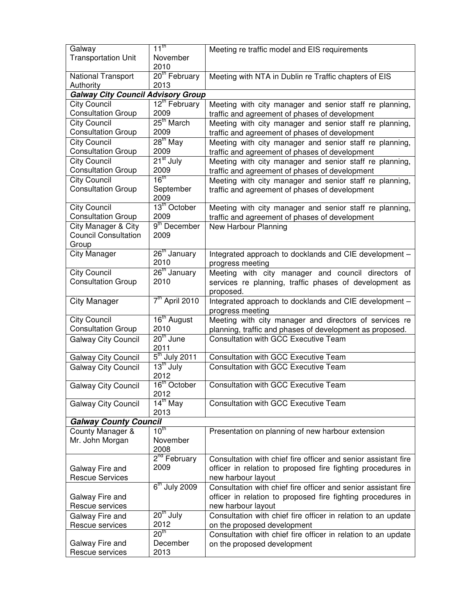| Galway                                           | $11^{\text{th}}$                 | Meeting re traffic model and EIS requirements                                                             |
|--------------------------------------------------|----------------------------------|-----------------------------------------------------------------------------------------------------------|
| <b>Transportation Unit</b>                       | November                         |                                                                                                           |
|                                                  | 2010                             |                                                                                                           |
| National Transport                               | 20 <sup>th</sup> February        | Meeting with NTA in Dublin re Traffic chapters of EIS                                                     |
| Authority                                        | 2013                             |                                                                                                           |
| <b>Galway City Council Advisory Group</b>        |                                  |                                                                                                           |
| City Council<br><b>Consultation Group</b>        | $12th$ February<br>2009          | Meeting with city manager and senior staff re planning,                                                   |
| <b>City Council</b>                              | $25th$ March                     | traffic and agreement of phases of development                                                            |
| <b>Consultation Group</b>                        | 2009                             | Meeting with city manager and senior staff re planning,<br>traffic and agreement of phases of development |
| <b>City Council</b>                              | $28^{\text{th}}$ May             | Meeting with city manager and senior staff re planning,                                                   |
| <b>Consultation Group</b>                        | 2009                             | traffic and agreement of phases of development                                                            |
| <b>City Council</b>                              | $21st$ July                      | Meeting with city manager and senior staff re planning,                                                   |
| <b>Consultation Group</b>                        | 2009                             | traffic and agreement of phases of development                                                            |
| <b>City Council</b>                              | 16 <sup>th</sup>                 | Meeting with city manager and senior staff re planning,                                                   |
| <b>Consultation Group</b>                        | September                        | traffic and agreement of phases of development                                                            |
|                                                  | 2009                             |                                                                                                           |
| <b>City Council</b><br><b>Consultation Group</b> | 13 <sup>th</sup> October<br>2009 | Meeting with city manager and senior staff re planning,                                                   |
| City Manager & City                              | 9 <sup>th</sup> December         | traffic and agreement of phases of development                                                            |
| <b>Council Consultation</b>                      | 2009                             | New Harbour Planning                                                                                      |
| Group                                            |                                  |                                                                                                           |
| <b>City Manager</b>                              | 26 <sup>th</sup> January         | Integrated approach to docklands and CIE development -                                                    |
|                                                  | 2010                             | progress meeting                                                                                          |
| <b>City Council</b>                              | $26th$ January                   | Meeting with city manager and council directors of                                                        |
| <b>Consultation Group</b>                        | 2010                             | services re planning, traffic phases of development as                                                    |
|                                                  |                                  | proposed.                                                                                                 |
| <b>City Manager</b>                              | 7 <sup>th</sup> April 2010       | Integrated approach to docklands and CIE development -                                                    |
|                                                  |                                  | progress meeting                                                                                          |
| <b>City Council</b>                              | 16 <sup>th</sup> August          | Meeting with city manager and directors of services re                                                    |
| <b>Consultation Group</b>                        | 2010                             | planning, traffic and phases of development as proposed.                                                  |
| <b>Galway City Council</b>                       | $20th$ June<br>2011              | <b>Consultation with GCC Executive Team</b>                                                               |
| Galway City Council                              | $5th$ July 2011                  | Consultation with GCC Executive Team                                                                      |
| <b>Galway City Council</b>                       | 13 <sup>th</sup> July            | <b>Consultation with GCC Executive Team</b>                                                               |
|                                                  | 2012                             |                                                                                                           |
| <b>Galway City Council</b>                       | $16^{\text{th}}$ October         | <b>Consultation with GCC Executive Team</b>                                                               |
|                                                  | 2012                             |                                                                                                           |
| Galway City Council                              | $14^{\text{th}}$ May<br>2013     | <b>Consultation with GCC Executive Team</b>                                                               |
| <b>Galway County Council</b>                     |                                  |                                                                                                           |
| County Manager &                                 | 10 <sup>th</sup>                 | Presentation on planning of new harbour extension                                                         |
| Mr. John Morgan                                  | November                         |                                                                                                           |
|                                                  | 2008                             |                                                                                                           |
|                                                  | 2 <sup>nd</sup> February         | Consultation with chief fire officer and senior assistant fire                                            |
| Galway Fire and                                  | 2009                             | officer in relation to proposed fire fighting procedures in                                               |
| <b>Rescue Services</b>                           |                                  | new harbour layout                                                                                        |
|                                                  | $6th$ July 2009                  | Consultation with chief fire officer and senior assistant fire                                            |
| Galway Fire and                                  |                                  | officer in relation to proposed fire fighting procedures in                                               |
| Rescue services<br>Galway Fire and               | $20th$ July                      | new harbour layout<br>Consultation with chief fire officer in relation to an update                       |
| Rescue services                                  | 2012                             | on the proposed development                                                                               |
|                                                  | 20 <sup>th</sup>                 | Consultation with chief fire officer in relation to an update                                             |
| Galway Fire and                                  | December                         | on the proposed development                                                                               |
| Rescue services                                  | 2013                             |                                                                                                           |
|                                                  |                                  |                                                                                                           |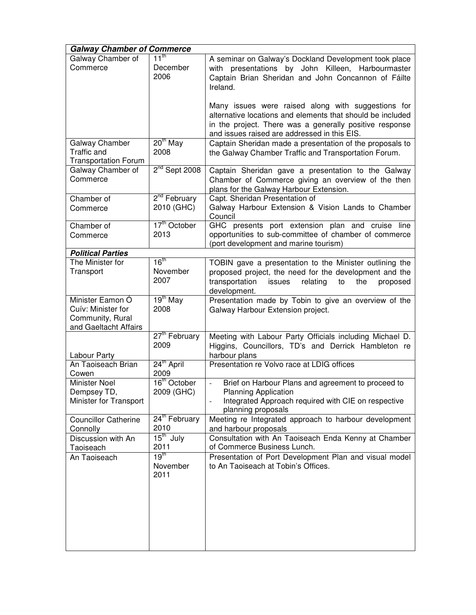| <b>Galway Chamber of Commerce</b>                                                   |                                        |                                                                                                                                                                                                                             |
|-------------------------------------------------------------------------------------|----------------------------------------|-----------------------------------------------------------------------------------------------------------------------------------------------------------------------------------------------------------------------------|
| Galway Chamber of<br>Commerce                                                       | $11^{\text{th}}$<br>December<br>2006   | A seminar on Galway's Dockland Development took place<br>with presentations by John Killeen, Harbourmaster<br>Captain Brian Sheridan and John Concannon of Fáilte<br>Ireland.                                               |
|                                                                                     |                                        | Many issues were raised along with suggestions for<br>alternative locations and elements that should be included<br>in the project. There was a generally positive response<br>and issues raised are addressed in this EIS. |
| Galway Chamber<br><b>Traffic and</b><br><b>Transportation Forum</b>                 | $20th$ May<br>2008                     | Captain Sheridan made a presentation of the proposals to<br>the Galway Chamber Traffic and Transportation Forum.                                                                                                            |
| Galway Chamber of<br>Commerce                                                       | $2nd$ Sept 2008                        | Captain Sheridan gave a presentation to the Galway<br>Chamber of Commerce giving an overview of the then<br>plans for the Galway Harbour Extension.                                                                         |
| Chamber of<br>Commerce                                                              | 2 <sup>nd</sup> February<br>2010 (GHC) | Capt. Sheridan Presentation of<br>Galway Harbour Extension & Vision Lands to Chamber<br>Council                                                                                                                             |
| Chamber of<br>Commerce                                                              | 17 <sup>th</sup> October<br>2013       | GHC presents port extension plan and cruise line<br>opportunities to sub-committee of chamber of commerce<br>(port development and marine tourism)                                                                          |
| <b>Political Parties</b>                                                            |                                        |                                                                                                                                                                                                                             |
| The Minister for<br>Transport                                                       | 16 <sup>th</sup><br>November<br>2007   | TOBIN gave a presentation to the Minister outlining the<br>proposed project, the need for the development and the<br>transportation<br>relating<br>issues<br>to<br>the<br>proposed<br>development.                          |
| Minister Eamon Ó<br>Cuív: Minister for<br>Community, Rural<br>and Gaeltacht Affairs | $19th$ May<br>2008                     | Presentation made by Tobin to give an overview of the<br>Galway Harbour Extension project.                                                                                                                                  |
| Labour Party                                                                        | 27 <sup>th</sup> February<br>2009      | Meeting with Labour Party Officials including Michael D.<br>Higgins, Councillors, TD's and Derrick Hambleton re<br>harbour plans                                                                                            |
| An Taoiseach Brian<br>Cowen                                                         | 24 <sup>th</sup> April<br>2009         | Presentation re Volvo race at LDIG offices                                                                                                                                                                                  |
| <b>Minister Noel</b><br>Dempsey TD,<br>Minister for Transport                       | 16 <sup>th</sup> October<br>2009 (GHC) | Brief on Harbour Plans and agreement to proceed to<br><b>Planning Application</b><br>Integrated Approach required with CIE on respective<br>planning proposals                                                              |
| <b>Councillor Catherine</b><br>Connolly                                             | 24 <sup>th</sup> February<br>2010      | Meeting re Integrated approach to harbour development<br>and harbour proposals                                                                                                                                              |
| Discussion with An<br>Taoiseach                                                     | $15th$ July<br>2011                    | Consultation with An Taoiseach Enda Kenny at Chamber<br>of Commerce Business Lunch.                                                                                                                                         |
| An Taoiseach                                                                        | 19 $^{\text{tn}}$<br>November<br>2011  | Presentation of Port Development Plan and visual model<br>to An Taoiseach at Tobin's Offices.                                                                                                                               |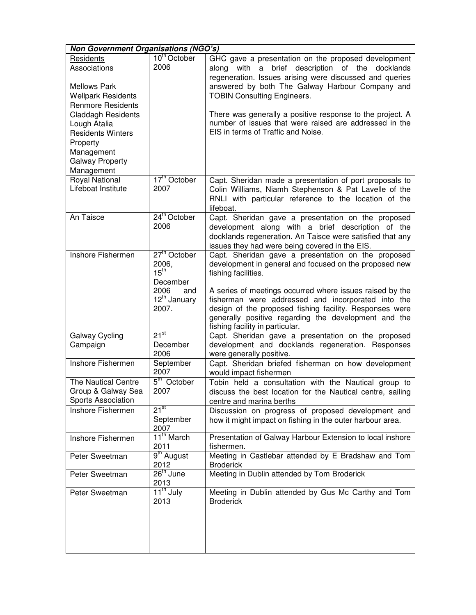| <b>Non Government Organisations (NGO's)</b>                                                                                                                                                                                                          |                                                                                                      |                                                                                                                                                                                                                                                                                                                                                                                                                            |  |
|------------------------------------------------------------------------------------------------------------------------------------------------------------------------------------------------------------------------------------------------------|------------------------------------------------------------------------------------------------------|----------------------------------------------------------------------------------------------------------------------------------------------------------------------------------------------------------------------------------------------------------------------------------------------------------------------------------------------------------------------------------------------------------------------------|--|
| Residents<br>Associations<br><b>Mellows Park</b><br><b>Wellpark Residents</b><br><b>Renmore Residents</b><br><b>Claddagh Residents</b><br>Lough Atalia<br><b>Residents Winters</b><br>Property<br>Management<br><b>Galway Property</b><br>Management | 10 <sup>th</sup> October<br>2006                                                                     | GHC gave a presentation on the proposed development<br>with a brief description of the docklands<br>along<br>regeneration. Issues arising were discussed and queries<br>answered by both The Galway Harbour Company and<br><b>TOBIN Consulting Engineers.</b><br>There was generally a positive response to the project. A<br>number of issues that were raised are addressed in the<br>EIS in terms of Traffic and Noise. |  |
| <b>Royal National</b><br>Lifeboat Institute                                                                                                                                                                                                          | 17 <sup>th</sup> October<br>2007                                                                     | Capt. Sheridan made a presentation of port proposals to<br>Colin Williams, Niamh Stephenson & Pat Lavelle of the<br>RNLI with particular reference to the location of the<br>lifeboat.                                                                                                                                                                                                                                     |  |
| An Taisce                                                                                                                                                                                                                                            | 24 <sup>th</sup> October<br>2006                                                                     | Capt. Sheridan gave a presentation on the proposed<br>development along with a brief description of the<br>docklands regeneration. An Taisce were satisfied that any<br>issues they had were being covered in the EIS.                                                                                                                                                                                                     |  |
| Inshore Fishermen                                                                                                                                                                                                                                    | $27th$ October<br>2006,<br>$15^{th}$<br>December<br>2006<br>and<br>12 <sup>th</sup> January<br>2007. | Capt. Sheridan gave a presentation on the proposed<br>development in general and focused on the proposed new<br>fishing facilities.<br>A series of meetings occurred where issues raised by the<br>fisherman were addressed and incorporated into the<br>design of the proposed fishing facility. Responses were<br>generally positive regarding the development and the<br>fishing facility in particular.                |  |
| Galway Cycling<br>Campaign                                                                                                                                                                                                                           | $21^{st}$<br>December<br>2006                                                                        | Capt. Sheridan gave a presentation on the proposed<br>development and docklands regeneration. Responses<br>were generally positive.                                                                                                                                                                                                                                                                                        |  |
| Inshore Fishermen                                                                                                                                                                                                                                    | September<br>2007                                                                                    | Capt. Sheridan briefed fisherman on how development<br>would impact fishermen                                                                                                                                                                                                                                                                                                                                              |  |
| The Nautical Centre<br>Group & Galway Sea<br>Sports Association                                                                                                                                                                                      | 5 <sup>th</sup> October<br>2007                                                                      | Tobin held a consultation with the Nautical group to<br>discuss the best location for the Nautical centre, sailing<br>centre and marina berths                                                                                                                                                                                                                                                                             |  |
| Inshore Fishermen                                                                                                                                                                                                                                    | $21^{st}$<br>September<br>2007                                                                       | Discussion on progress of proposed development and<br>how it might impact on fishing in the outer harbour area.                                                                                                                                                                                                                                                                                                            |  |
| Inshore Fishermen                                                                                                                                                                                                                                    | 11 <sup>th</sup> March<br>2011                                                                       | Presentation of Galway Harbour Extension to local inshore<br>fishermen.                                                                                                                                                                                                                                                                                                                                                    |  |
| Peter Sweetman                                                                                                                                                                                                                                       | 9 <sup>th</sup> August<br>2012                                                                       | Meeting in Castlebar attended by E Bradshaw and Tom<br><b>Broderick</b>                                                                                                                                                                                                                                                                                                                                                    |  |
| Peter Sweetman                                                                                                                                                                                                                                       | $26th$ June<br>2013                                                                                  | Meeting in Dublin attended by Tom Broderick                                                                                                                                                                                                                                                                                                                                                                                |  |
| Peter Sweetman                                                                                                                                                                                                                                       | 11 <sup>th</sup> July<br>2013                                                                        | Meeting in Dublin attended by Gus Mc Carthy and Tom<br><b>Broderick</b>                                                                                                                                                                                                                                                                                                                                                    |  |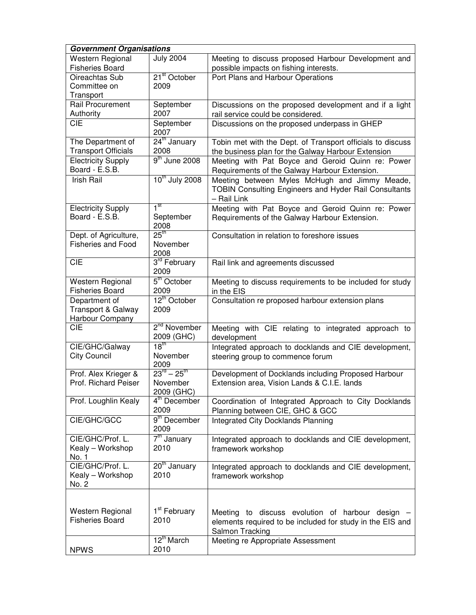| <b>Government Organisations</b>                        |                                                             |                                                                                                                                  |
|--------------------------------------------------------|-------------------------------------------------------------|----------------------------------------------------------------------------------------------------------------------------------|
| Western Regional<br><b>Fisheries Board</b>             | <b>July 2004</b>                                            | Meeting to discuss proposed Harbour Development and<br>possible impacts on fishing interests.                                    |
| Oireachtas Sub<br>Committee on<br>Transport            | 21 <sup>st</sup> October<br>2009                            | Port Plans and Harbour Operations                                                                                                |
| Rail Procurement<br>Authority                          | September<br>2007                                           | Discussions on the proposed development and if a light<br>rail service could be considered.                                      |
| <b>CIE</b>                                             | September<br>2007                                           | Discussions on the proposed underpass in GHEP                                                                                    |
| The Department of<br><b>Transport Officials</b>        | 24 <sup>th</sup> January<br>2008                            | Tobin met with the Dept. of Transport officials to discuss<br>the business plan for the Galway Harbour Extension                 |
| <b>Electricity Supply</b><br>Board - E.S.B.            | 9 <sup>th</sup> June 2008                                   | Meeting with Pat Boyce and Geroid Quinn re: Power<br>Requirements of the Galway Harbour Extension.                               |
| Irish Rail                                             | 10 <sup>th</sup> July 2008                                  | Meeting between Myles McHugh and Jimmy Meade,<br><b>TOBIN Consulting Engineers and Hyder Rail Consultants</b><br>- Rail Link     |
| <b>Electricity Supply</b><br>Board - E.S.B.            | 1 <sup>st</sup><br>September<br>2008                        | Meeting with Pat Boyce and Geroid Quinn re: Power<br>Requirements of the Galway Harbour Extension.                               |
| Dept. of Agriculture,<br><b>Fisheries and Food</b>     | 25 <sup>th</sup><br>November<br>2008                        | Consultation in relation to foreshore issues                                                                                     |
| <b>CIE</b>                                             | 3 <sup>rd</sup> February<br>2009                            | Rail link and agreements discussed                                                                                               |
| Western Regional<br><b>Fisheries Board</b>             | 5 <sup>th</sup> October<br>2009                             | Meeting to discuss requirements to be included for study<br>in the EIS                                                           |
| Department of<br>Transport & Galway<br>Harbour Company | 12 <sup>th</sup> October<br>2009                            | Consultation re proposed harbour extension plans                                                                                 |
| <b>CIE</b>                                             | 2 <sup>nd</sup> November<br>2009 (GHC)                      | Meeting with CIE relating to integrated approach to<br>development                                                               |
| CIE/GHC/Galway<br><b>City Council</b>                  | $18^{th}$<br>November<br>2009                               | Integrated approach to docklands and CIE development,<br>steering group to commence forum                                        |
| Prof. Alex Krieger &<br>Prof. Richard Peiser           | $23^{\text{rd}} - 25^{\text{th}}$<br>November<br>2009 (GHC) | Development of Docklands including Proposed Harbour<br>Extension area, Vision Lands & C.I.E. lands                               |
| Prof. Loughlin Kealy                                   | $4th$ December<br>2009                                      | Coordination of Integrated Approach to City Docklands<br>Planning between CIE, GHC & GCC                                         |
| CIE/GHC/GCC                                            | 9 <sup>th</sup> December<br>2009                            | <b>Integrated City Docklands Planning</b>                                                                                        |
| CIE/GHC/Prof. L.<br>Kealy - Workshop<br>No. 1          | 7 <sup>th</sup> January<br>2010                             | Integrated approach to docklands and CIE development,<br>framework workshop                                                      |
| CIE/GHC/Prof. L.<br>Kealy - Workshop<br>No. 2          | 20 <sup>th</sup> January<br>2010                            | Integrated approach to docklands and CIE development,<br>framework workshop                                                      |
| Western Regional<br><b>Fisheries Board</b>             | 1 <sup>st</sup> February<br>2010                            | Meeting to discuss evolution of harbour design -<br>elements required to be included for study in the EIS and<br>Salmon Tracking |
| <b>NPWS</b>                                            | $12^{\text{th}}$ March<br>2010                              | Meeting re Appropriate Assessment                                                                                                |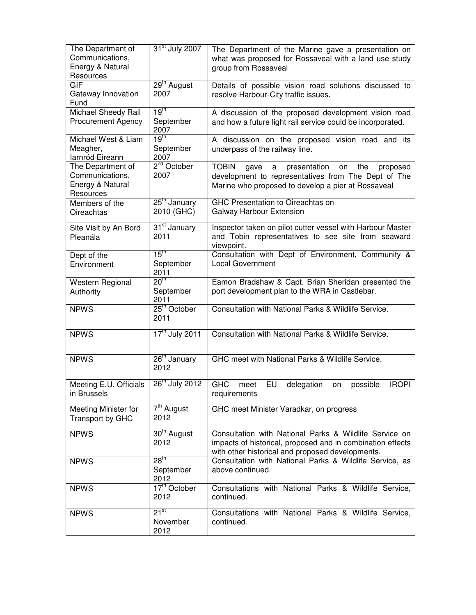| The Department of<br>Communications,<br>Energy & Natural<br>Resources | 31 <sup>st</sup> July 2007                | The Department of the Marine gave a presentation on<br>what was proposed for Rossaveal with a land use study<br>group from Rossaveal                                            |
|-----------------------------------------------------------------------|-------------------------------------------|---------------------------------------------------------------------------------------------------------------------------------------------------------------------------------|
| <b>GIF</b><br>Gateway Innovation<br>Fund                              | 29 <sup>th</sup> August<br>2007           | Details of possible vision road solutions discussed to<br>resolve Harbour-City traffic issues.                                                                                  |
| Michael Sheedy Rail<br><b>Procurement Agency</b>                      | 19 <sup>th</sup><br>September<br>2007     | A discussion of the proposed development vision road<br>and how a future light rail service could be incorporated.                                                              |
| Michael West & Liam<br>Meagher,<br>Iarnród Eireann                    | 19 <sup>th</sup><br>September<br>2007     | A discussion on the proposed vision road and its<br>underpass of the railway line.                                                                                              |
| The Department of<br>Communications,<br>Energy & Natural<br>Resources | 2 <sup>nd</sup> October<br>2007           | <b>TOBIN</b><br>presentation<br>proposed<br>the<br>gave<br>on<br>a<br>development to representatives from The Dept of The<br>Marine who proposed to develop a pier at Rossaveal |
| Members of the<br><b>Oireachtas</b>                                   | 25 <sup>th</sup> January<br>2010 (GHC)    | <b>GHC Presentation to Oireachtas on</b><br>Galway Harbour Extension                                                                                                            |
| Site Visit by An Bord<br>Pleanála                                     | 31 <sup>st</sup> January<br>2011          | Inspector taken on pilot cutter vessel with Harbour Master<br>and Tobin representatives to see site from seaward<br>viewpoint.                                                  |
| Dept of the<br>Environment                                            | $15^{\text{th}}$<br>September<br>2011     | Consultation with Dept of Environment, Community &<br><b>Local Government</b>                                                                                                   |
| Western Regional<br>Authority                                         | 20 <sup>th</sup><br>September<br>2011     | Éamon Bradshaw & Capt. Brian Sheridan presented the<br>port development plan to the WRA in Castlebar.                                                                           |
| <b>NPWS</b>                                                           | 25 <sup>th</sup> October<br>2011          | Consultation with National Parks & Wildlife Service.                                                                                                                            |
| <b>NPWS</b>                                                           | 17 <sup>th</sup> July 2011                | Consultation with National Parks & Wildlife Service.                                                                                                                            |
| <b>NPWS</b>                                                           | 26 <sup>th</sup> January<br>2012          | GHC meet with National Parks & Wildlife Service.                                                                                                                                |
| Meeting E.U. Officials<br>in Brussels                                 | 26 <sup>th</sup> July 2012                | <b>GHC</b><br><b>IROPI</b><br>EU<br>delegation<br>possible<br>meet<br>on<br>requirements                                                                                        |
| Meeting Minister for<br>Transport by GHC                              | $\overline{7}^{\text{th}}$ August<br>2012 | GHC meet Minister Varadkar, on progress                                                                                                                                         |
| <b>NPWS</b>                                                           | 30 <sup>th</sup> August<br>2012           | Consultation with National Parks & Wildlife Service on<br>impacts of historical, proposed and in combination effects<br>with other historical and proposed developments.        |
| <b>NPWS</b>                                                           | 28 <sup>th</sup><br>September<br>2012     | Consultation with National Parks & Wildlife Service, as<br>above continued.                                                                                                     |
| <b>NPWS</b>                                                           | 17 <sup>th</sup> October<br>2012          | Consultations with National Parks & Wildlife Service,<br>continued.                                                                                                             |
| <b>NPWS</b>                                                           | $21^{st}$<br>November<br>2012             | Consultations with National Parks & Wildlife Service,<br>continued.                                                                                                             |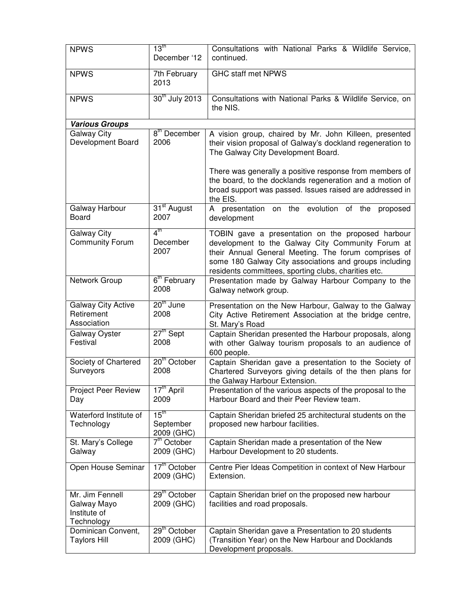| <b>NPWS</b>                                                  | $13^{\text{th}}$<br>December '12            | Consultations with National Parks & Wildlife Service,<br>continued.                                                                                                                                                                                                              |
|--------------------------------------------------------------|---------------------------------------------|----------------------------------------------------------------------------------------------------------------------------------------------------------------------------------------------------------------------------------------------------------------------------------|
| <b>NPWS</b>                                                  | 7th February<br>2013                        | <b>GHC staff met NPWS</b>                                                                                                                                                                                                                                                        |
| <b>NPWS</b>                                                  | 30 <sup>th</sup> July 2013                  | Consultations with National Parks & Wildlife Service, on<br>the NIS.                                                                                                                                                                                                             |
| <b>Various Groups</b>                                        |                                             |                                                                                                                                                                                                                                                                                  |
| <b>Galway City</b><br>Development Board                      | 8 <sup>th</sup> December<br>2006            | A vision group, chaired by Mr. John Killeen, presented<br>their vision proposal of Galway's dockland regeneration to<br>The Galway City Development Board.                                                                                                                       |
|                                                              |                                             | There was generally a positive response from members of<br>the board, to the docklands regeneration and a motion of<br>broad support was passed. Issues raised are addressed in<br>the EIS.                                                                                      |
| Galway Harbour<br>Board                                      | 31 <sup>st</sup> August<br>2007             | A presentation on the evolution of the proposed<br>development                                                                                                                                                                                                                   |
| <b>Galway City</b><br><b>Community Forum</b>                 | $4^{\text{th}}$<br>December<br>2007         | TOBIN gave a presentation on the proposed harbour<br>development to the Galway City Community Forum at<br>their Annual General Meeting. The forum comprises of<br>some 180 Galway City associations and groups including<br>residents committees, sporting clubs, charities etc. |
| Network Group                                                | 6 <sup>th</sup> February<br>2008            | Presentation made by Galway Harbour Company to the<br>Galway network group.                                                                                                                                                                                                      |
| <b>Galway City Active</b><br>Retirement<br>Association       | 20 <sup>th</sup> June<br>2008               | Presentation on the New Harbour, Galway to the Galway<br>City Active Retirement Association at the bridge centre,<br>St. Mary's Road                                                                                                                                             |
| Galway Oyster<br>Festival                                    | $27th$ Sept<br>2008                         | Captain Sheridan presented the Harbour proposals, along<br>with other Galway tourism proposals to an audience of<br>600 people.                                                                                                                                                  |
| Society of Chartered<br>Surveyors                            | 20 <sup>th</sup> October<br>2008            | Captain Sheridan gave a presentation to the Society of<br>Chartered Surveyors giving details of the then plans for<br>the Galway Harbour Extension.                                                                                                                              |
| <b>Project Peer Review</b><br>Day                            | 17 <sup>th</sup> April<br>2009              | Presentation of the various aspects of the proposal to the<br>Harbour Board and their Peer Review team.                                                                                                                                                                          |
| Waterford Institute of<br>Technology                         | 15 <sup>th</sup><br>September<br>2009 (GHC) | Captain Sheridan briefed 25 architectural students on the<br>proposed new harbour facilities.                                                                                                                                                                                    |
| St. Mary's College<br>Galway                                 | 7 <sup>th</sup> October<br>2009 (GHC)       | Captain Sheridan made a presentation of the New<br>Harbour Development to 20 students.                                                                                                                                                                                           |
| Open House Seminar                                           | 17 <sup>th</sup> October<br>2009 (GHC)      | Centre Pier Ideas Competition in context of New Harbour<br>Extension.                                                                                                                                                                                                            |
| Mr. Jim Fennell<br>Galway Mayo<br>Institute of<br>Technology | 29 <sup>th</sup> October<br>2009 (GHC)      | Captain Sheridan brief on the proposed new harbour<br>facilities and road proposals.                                                                                                                                                                                             |
| Dominican Convent,<br><b>Taylors Hill</b>                    | 29 <sup>th</sup> October<br>2009 (GHC)      | Captain Sheridan gave a Presentation to 20 students<br>(Transition Year) on the New Harbour and Docklands<br>Development proposals.                                                                                                                                              |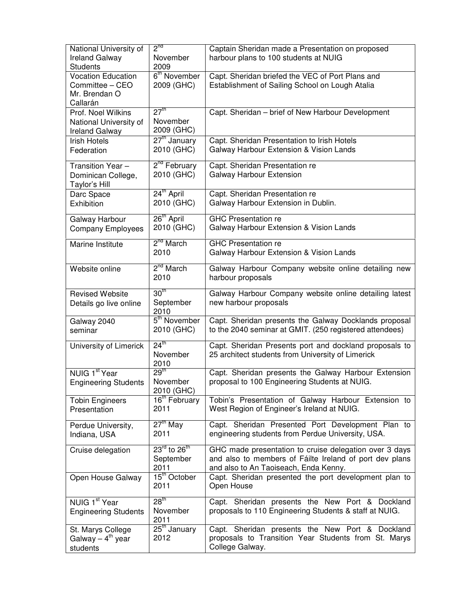| <b>Ireland Galway</b><br>November<br>harbour plans to 100 students at NUIG<br><b>Students</b><br>2009<br>6 <sup>th</sup> November<br><b>Vocation Education</b><br>Capt. Sheridan briefed the VEC of Port Plans and<br>Establishment of Sailing School on Lough Atalia<br>Committee - CEO<br>2009 (GHC)<br>Mr. Brendan O<br>Callarán<br>27 <sup>th</sup><br>Prof. Noel Wilkins<br>Capt. Sheridan - brief of New Harbour Development<br>November<br>National University of<br>2009 (GHC)<br><b>Ireland Galway</b><br>27 <sup>th</sup> January<br>Capt. Sheridan Presentation to Irish Hotels<br><b>Irish Hotels</b><br>2010 (GHC)<br>Galway Harbour Extension & Vision Lands<br>Federation<br>2 <sup>nd</sup> February<br>Capt. Sheridan Presentation re<br>Transition Year-<br>2010 (GHC)<br>Galway Harbour Extension<br>Dominican College,<br>Taylor's Hill<br>24 <sup>th</sup> April<br>Capt. Sheridan Presentation re<br>Darc Space<br>2010 (GHC)<br>Galway Harbour Extension in Dublin.<br>Exhibition<br>26 <sup>th</sup> April<br><b>GHC Presentation re</b><br>Galway Harbour<br>2010 (GHC)<br>Galway Harbour Extension & Vision Lands<br><b>Company Employees</b><br>2 <sup>nd</sup> March<br><b>GHC Presentation re</b><br>Marine Institute<br>2010<br>Galway Harbour Extension & Vision Lands<br>2 <sup>nd</sup> March<br>Website online<br>Galway Harbour Company website online detailing new<br>2010<br>harbour proposals<br>30 <sup>th</sup><br>Galway Harbour Company website online detailing latest<br><b>Revised Website</b><br>September<br>new harbour proposals<br>Details go live online<br>2010<br>5 <sup>th</sup> November<br>Capt. Sheridan presents the Galway Docklands proposal<br>Galway 2040<br>to the 2040 seminar at GMIT. (250 registered attendees)<br>2010 (GHC)<br>seminar<br>$24^{\text{th}}$<br>Capt. Sheridan Presents port and dockland proposals to<br>University of Limerick<br>November<br>25 architect students from University of Limerick<br>2010<br>29 <sup>th</sup><br>NUIG 1 <sup>st</sup> Year<br>Capt. Sheridan presents the Galway Harbour Extension<br>proposal to 100 Engineering Students at NUIG.<br>November<br><b>Engineering Students</b><br>2010 (GHC)<br>16 <sup>th</sup> February<br>Tobin's Presentation of Galway Harbour Extension to<br><b>Tobin Engineers</b><br>West Region of Engineer's Ireland at NUIG.<br>2011<br>Presentation<br>$27th$ May<br>Capt. Sheridan Presented Port Development Plan to<br>Perdue University,<br>engineering students from Perdue University, USA.<br>2011<br>Indiana, USA<br>$23^{\prime\prime\prime}$ to $26^{\prime\prime\prime}$<br>GHC made presentation to cruise delegation over 3 days<br>Cruise delegation<br>and also to members of Fáilte Ireland of port dev plans<br>September<br>and also to An Taoiseach, Enda Kenny.<br>2011<br>15 <sup>th</sup> October<br>Capt. Sheridan presented the port development plan to<br>Open House Galway<br>2011<br>Open House<br>28 <sup>th</sup><br>NUIG 1 <sup>st</sup> Year<br>Capt. Sheridan presents the New Port & Dockland<br>proposals to 110 Engineering Students & staff at NUIG.<br>November<br><b>Engineering Students</b><br>2011<br>25 <sup>th</sup> January<br>Capt. Sheridan presents the New Port & Dockland<br>St. Marys College<br>Galway – $4^{\text{th}}$ year<br>2012<br>proposals to Transition Year Students from St. Marys<br>College Galway. | National University of | $2^{nd}$ | Captain Sheridan made a Presentation on proposed |
|-----------------------------------------------------------------------------------------------------------------------------------------------------------------------------------------------------------------------------------------------------------------------------------------------------------------------------------------------------------------------------------------------------------------------------------------------------------------------------------------------------------------------------------------------------------------------------------------------------------------------------------------------------------------------------------------------------------------------------------------------------------------------------------------------------------------------------------------------------------------------------------------------------------------------------------------------------------------------------------------------------------------------------------------------------------------------------------------------------------------------------------------------------------------------------------------------------------------------------------------------------------------------------------------------------------------------------------------------------------------------------------------------------------------------------------------------------------------------------------------------------------------------------------------------------------------------------------------------------------------------------------------------------------------------------------------------------------------------------------------------------------------------------------------------------------------------------------------------------------------------------------------------------------------------------------------------------------------------------------------------------------------------------------------------------------------------------------------------------------------------------------------------------------------------------------------------------------------------------------------------------------------------------------------------------------------------------------------------------------------------------------------------------------------------------------------------------------------------------------------------------------------------------------------------------------------------------------------------------------------------------------------------------------------------------------------------------------------------------------------------------------------------------------------------------------------------------------------------------------------------------------------------------------------------------------------------------------------------------------------------------------------------------------------------------------------------------------------------------------------------------------------------------------------------------------------------------------------------------------------------------------------------------------------------------------------------------------------------------------------------------------------------------------------------|------------------------|----------|--------------------------------------------------|
|                                                                                                                                                                                                                                                                                                                                                                                                                                                                                                                                                                                                                                                                                                                                                                                                                                                                                                                                                                                                                                                                                                                                                                                                                                                                                                                                                                                                                                                                                                                                                                                                                                                                                                                                                                                                                                                                                                                                                                                                                                                                                                                                                                                                                                                                                                                                                                                                                                                                                                                                                                                                                                                                                                                                                                                                                                                                                                                                                                                                                                                                                                                                                                                                                                                                                                                                                                                                                       |                        |          |                                                  |
|                                                                                                                                                                                                                                                                                                                                                                                                                                                                                                                                                                                                                                                                                                                                                                                                                                                                                                                                                                                                                                                                                                                                                                                                                                                                                                                                                                                                                                                                                                                                                                                                                                                                                                                                                                                                                                                                                                                                                                                                                                                                                                                                                                                                                                                                                                                                                                                                                                                                                                                                                                                                                                                                                                                                                                                                                                                                                                                                                                                                                                                                                                                                                                                                                                                                                                                                                                                                                       |                        |          |                                                  |
|                                                                                                                                                                                                                                                                                                                                                                                                                                                                                                                                                                                                                                                                                                                                                                                                                                                                                                                                                                                                                                                                                                                                                                                                                                                                                                                                                                                                                                                                                                                                                                                                                                                                                                                                                                                                                                                                                                                                                                                                                                                                                                                                                                                                                                                                                                                                                                                                                                                                                                                                                                                                                                                                                                                                                                                                                                                                                                                                                                                                                                                                                                                                                                                                                                                                                                                                                                                                                       |                        |          |                                                  |
|                                                                                                                                                                                                                                                                                                                                                                                                                                                                                                                                                                                                                                                                                                                                                                                                                                                                                                                                                                                                                                                                                                                                                                                                                                                                                                                                                                                                                                                                                                                                                                                                                                                                                                                                                                                                                                                                                                                                                                                                                                                                                                                                                                                                                                                                                                                                                                                                                                                                                                                                                                                                                                                                                                                                                                                                                                                                                                                                                                                                                                                                                                                                                                                                                                                                                                                                                                                                                       |                        |          |                                                  |
|                                                                                                                                                                                                                                                                                                                                                                                                                                                                                                                                                                                                                                                                                                                                                                                                                                                                                                                                                                                                                                                                                                                                                                                                                                                                                                                                                                                                                                                                                                                                                                                                                                                                                                                                                                                                                                                                                                                                                                                                                                                                                                                                                                                                                                                                                                                                                                                                                                                                                                                                                                                                                                                                                                                                                                                                                                                                                                                                                                                                                                                                                                                                                                                                                                                                                                                                                                                                                       |                        |          |                                                  |
|                                                                                                                                                                                                                                                                                                                                                                                                                                                                                                                                                                                                                                                                                                                                                                                                                                                                                                                                                                                                                                                                                                                                                                                                                                                                                                                                                                                                                                                                                                                                                                                                                                                                                                                                                                                                                                                                                                                                                                                                                                                                                                                                                                                                                                                                                                                                                                                                                                                                                                                                                                                                                                                                                                                                                                                                                                                                                                                                                                                                                                                                                                                                                                                                                                                                                                                                                                                                                       |                        |          |                                                  |
|                                                                                                                                                                                                                                                                                                                                                                                                                                                                                                                                                                                                                                                                                                                                                                                                                                                                                                                                                                                                                                                                                                                                                                                                                                                                                                                                                                                                                                                                                                                                                                                                                                                                                                                                                                                                                                                                                                                                                                                                                                                                                                                                                                                                                                                                                                                                                                                                                                                                                                                                                                                                                                                                                                                                                                                                                                                                                                                                                                                                                                                                                                                                                                                                                                                                                                                                                                                                                       |                        |          |                                                  |
|                                                                                                                                                                                                                                                                                                                                                                                                                                                                                                                                                                                                                                                                                                                                                                                                                                                                                                                                                                                                                                                                                                                                                                                                                                                                                                                                                                                                                                                                                                                                                                                                                                                                                                                                                                                                                                                                                                                                                                                                                                                                                                                                                                                                                                                                                                                                                                                                                                                                                                                                                                                                                                                                                                                                                                                                                                                                                                                                                                                                                                                                                                                                                                                                                                                                                                                                                                                                                       |                        |          |                                                  |
|                                                                                                                                                                                                                                                                                                                                                                                                                                                                                                                                                                                                                                                                                                                                                                                                                                                                                                                                                                                                                                                                                                                                                                                                                                                                                                                                                                                                                                                                                                                                                                                                                                                                                                                                                                                                                                                                                                                                                                                                                                                                                                                                                                                                                                                                                                                                                                                                                                                                                                                                                                                                                                                                                                                                                                                                                                                                                                                                                                                                                                                                                                                                                                                                                                                                                                                                                                                                                       |                        |          |                                                  |
|                                                                                                                                                                                                                                                                                                                                                                                                                                                                                                                                                                                                                                                                                                                                                                                                                                                                                                                                                                                                                                                                                                                                                                                                                                                                                                                                                                                                                                                                                                                                                                                                                                                                                                                                                                                                                                                                                                                                                                                                                                                                                                                                                                                                                                                                                                                                                                                                                                                                                                                                                                                                                                                                                                                                                                                                                                                                                                                                                                                                                                                                                                                                                                                                                                                                                                                                                                                                                       |                        |          |                                                  |
|                                                                                                                                                                                                                                                                                                                                                                                                                                                                                                                                                                                                                                                                                                                                                                                                                                                                                                                                                                                                                                                                                                                                                                                                                                                                                                                                                                                                                                                                                                                                                                                                                                                                                                                                                                                                                                                                                                                                                                                                                                                                                                                                                                                                                                                                                                                                                                                                                                                                                                                                                                                                                                                                                                                                                                                                                                                                                                                                                                                                                                                                                                                                                                                                                                                                                                                                                                                                                       |                        |          |                                                  |
|                                                                                                                                                                                                                                                                                                                                                                                                                                                                                                                                                                                                                                                                                                                                                                                                                                                                                                                                                                                                                                                                                                                                                                                                                                                                                                                                                                                                                                                                                                                                                                                                                                                                                                                                                                                                                                                                                                                                                                                                                                                                                                                                                                                                                                                                                                                                                                                                                                                                                                                                                                                                                                                                                                                                                                                                                                                                                                                                                                                                                                                                                                                                                                                                                                                                                                                                                                                                                       |                        |          |                                                  |
|                                                                                                                                                                                                                                                                                                                                                                                                                                                                                                                                                                                                                                                                                                                                                                                                                                                                                                                                                                                                                                                                                                                                                                                                                                                                                                                                                                                                                                                                                                                                                                                                                                                                                                                                                                                                                                                                                                                                                                                                                                                                                                                                                                                                                                                                                                                                                                                                                                                                                                                                                                                                                                                                                                                                                                                                                                                                                                                                                                                                                                                                                                                                                                                                                                                                                                                                                                                                                       |                        |          |                                                  |
|                                                                                                                                                                                                                                                                                                                                                                                                                                                                                                                                                                                                                                                                                                                                                                                                                                                                                                                                                                                                                                                                                                                                                                                                                                                                                                                                                                                                                                                                                                                                                                                                                                                                                                                                                                                                                                                                                                                                                                                                                                                                                                                                                                                                                                                                                                                                                                                                                                                                                                                                                                                                                                                                                                                                                                                                                                                                                                                                                                                                                                                                                                                                                                                                                                                                                                                                                                                                                       |                        |          |                                                  |
|                                                                                                                                                                                                                                                                                                                                                                                                                                                                                                                                                                                                                                                                                                                                                                                                                                                                                                                                                                                                                                                                                                                                                                                                                                                                                                                                                                                                                                                                                                                                                                                                                                                                                                                                                                                                                                                                                                                                                                                                                                                                                                                                                                                                                                                                                                                                                                                                                                                                                                                                                                                                                                                                                                                                                                                                                                                                                                                                                                                                                                                                                                                                                                                                                                                                                                                                                                                                                       |                        |          |                                                  |
|                                                                                                                                                                                                                                                                                                                                                                                                                                                                                                                                                                                                                                                                                                                                                                                                                                                                                                                                                                                                                                                                                                                                                                                                                                                                                                                                                                                                                                                                                                                                                                                                                                                                                                                                                                                                                                                                                                                                                                                                                                                                                                                                                                                                                                                                                                                                                                                                                                                                                                                                                                                                                                                                                                                                                                                                                                                                                                                                                                                                                                                                                                                                                                                                                                                                                                                                                                                                                       |                        |          |                                                  |
|                                                                                                                                                                                                                                                                                                                                                                                                                                                                                                                                                                                                                                                                                                                                                                                                                                                                                                                                                                                                                                                                                                                                                                                                                                                                                                                                                                                                                                                                                                                                                                                                                                                                                                                                                                                                                                                                                                                                                                                                                                                                                                                                                                                                                                                                                                                                                                                                                                                                                                                                                                                                                                                                                                                                                                                                                                                                                                                                                                                                                                                                                                                                                                                                                                                                                                                                                                                                                       |                        |          |                                                  |
|                                                                                                                                                                                                                                                                                                                                                                                                                                                                                                                                                                                                                                                                                                                                                                                                                                                                                                                                                                                                                                                                                                                                                                                                                                                                                                                                                                                                                                                                                                                                                                                                                                                                                                                                                                                                                                                                                                                                                                                                                                                                                                                                                                                                                                                                                                                                                                                                                                                                                                                                                                                                                                                                                                                                                                                                                                                                                                                                                                                                                                                                                                                                                                                                                                                                                                                                                                                                                       |                        |          |                                                  |
|                                                                                                                                                                                                                                                                                                                                                                                                                                                                                                                                                                                                                                                                                                                                                                                                                                                                                                                                                                                                                                                                                                                                                                                                                                                                                                                                                                                                                                                                                                                                                                                                                                                                                                                                                                                                                                                                                                                                                                                                                                                                                                                                                                                                                                                                                                                                                                                                                                                                                                                                                                                                                                                                                                                                                                                                                                                                                                                                                                                                                                                                                                                                                                                                                                                                                                                                                                                                                       |                        |          |                                                  |
|                                                                                                                                                                                                                                                                                                                                                                                                                                                                                                                                                                                                                                                                                                                                                                                                                                                                                                                                                                                                                                                                                                                                                                                                                                                                                                                                                                                                                                                                                                                                                                                                                                                                                                                                                                                                                                                                                                                                                                                                                                                                                                                                                                                                                                                                                                                                                                                                                                                                                                                                                                                                                                                                                                                                                                                                                                                                                                                                                                                                                                                                                                                                                                                                                                                                                                                                                                                                                       |                        |          |                                                  |
|                                                                                                                                                                                                                                                                                                                                                                                                                                                                                                                                                                                                                                                                                                                                                                                                                                                                                                                                                                                                                                                                                                                                                                                                                                                                                                                                                                                                                                                                                                                                                                                                                                                                                                                                                                                                                                                                                                                                                                                                                                                                                                                                                                                                                                                                                                                                                                                                                                                                                                                                                                                                                                                                                                                                                                                                                                                                                                                                                                                                                                                                                                                                                                                                                                                                                                                                                                                                                       |                        |          |                                                  |
|                                                                                                                                                                                                                                                                                                                                                                                                                                                                                                                                                                                                                                                                                                                                                                                                                                                                                                                                                                                                                                                                                                                                                                                                                                                                                                                                                                                                                                                                                                                                                                                                                                                                                                                                                                                                                                                                                                                                                                                                                                                                                                                                                                                                                                                                                                                                                                                                                                                                                                                                                                                                                                                                                                                                                                                                                                                                                                                                                                                                                                                                                                                                                                                                                                                                                                                                                                                                                       |                        |          |                                                  |
|                                                                                                                                                                                                                                                                                                                                                                                                                                                                                                                                                                                                                                                                                                                                                                                                                                                                                                                                                                                                                                                                                                                                                                                                                                                                                                                                                                                                                                                                                                                                                                                                                                                                                                                                                                                                                                                                                                                                                                                                                                                                                                                                                                                                                                                                                                                                                                                                                                                                                                                                                                                                                                                                                                                                                                                                                                                                                                                                                                                                                                                                                                                                                                                                                                                                                                                                                                                                                       |                        |          |                                                  |
|                                                                                                                                                                                                                                                                                                                                                                                                                                                                                                                                                                                                                                                                                                                                                                                                                                                                                                                                                                                                                                                                                                                                                                                                                                                                                                                                                                                                                                                                                                                                                                                                                                                                                                                                                                                                                                                                                                                                                                                                                                                                                                                                                                                                                                                                                                                                                                                                                                                                                                                                                                                                                                                                                                                                                                                                                                                                                                                                                                                                                                                                                                                                                                                                                                                                                                                                                                                                                       |                        |          |                                                  |
|                                                                                                                                                                                                                                                                                                                                                                                                                                                                                                                                                                                                                                                                                                                                                                                                                                                                                                                                                                                                                                                                                                                                                                                                                                                                                                                                                                                                                                                                                                                                                                                                                                                                                                                                                                                                                                                                                                                                                                                                                                                                                                                                                                                                                                                                                                                                                                                                                                                                                                                                                                                                                                                                                                                                                                                                                                                                                                                                                                                                                                                                                                                                                                                                                                                                                                                                                                                                                       |                        |          |                                                  |
|                                                                                                                                                                                                                                                                                                                                                                                                                                                                                                                                                                                                                                                                                                                                                                                                                                                                                                                                                                                                                                                                                                                                                                                                                                                                                                                                                                                                                                                                                                                                                                                                                                                                                                                                                                                                                                                                                                                                                                                                                                                                                                                                                                                                                                                                                                                                                                                                                                                                                                                                                                                                                                                                                                                                                                                                                                                                                                                                                                                                                                                                                                                                                                                                                                                                                                                                                                                                                       |                        |          |                                                  |
|                                                                                                                                                                                                                                                                                                                                                                                                                                                                                                                                                                                                                                                                                                                                                                                                                                                                                                                                                                                                                                                                                                                                                                                                                                                                                                                                                                                                                                                                                                                                                                                                                                                                                                                                                                                                                                                                                                                                                                                                                                                                                                                                                                                                                                                                                                                                                                                                                                                                                                                                                                                                                                                                                                                                                                                                                                                                                                                                                                                                                                                                                                                                                                                                                                                                                                                                                                                                                       |                        |          |                                                  |
|                                                                                                                                                                                                                                                                                                                                                                                                                                                                                                                                                                                                                                                                                                                                                                                                                                                                                                                                                                                                                                                                                                                                                                                                                                                                                                                                                                                                                                                                                                                                                                                                                                                                                                                                                                                                                                                                                                                                                                                                                                                                                                                                                                                                                                                                                                                                                                                                                                                                                                                                                                                                                                                                                                                                                                                                                                                                                                                                                                                                                                                                                                                                                                                                                                                                                                                                                                                                                       |                        |          |                                                  |
|                                                                                                                                                                                                                                                                                                                                                                                                                                                                                                                                                                                                                                                                                                                                                                                                                                                                                                                                                                                                                                                                                                                                                                                                                                                                                                                                                                                                                                                                                                                                                                                                                                                                                                                                                                                                                                                                                                                                                                                                                                                                                                                                                                                                                                                                                                                                                                                                                                                                                                                                                                                                                                                                                                                                                                                                                                                                                                                                                                                                                                                                                                                                                                                                                                                                                                                                                                                                                       |                        |          |                                                  |
|                                                                                                                                                                                                                                                                                                                                                                                                                                                                                                                                                                                                                                                                                                                                                                                                                                                                                                                                                                                                                                                                                                                                                                                                                                                                                                                                                                                                                                                                                                                                                                                                                                                                                                                                                                                                                                                                                                                                                                                                                                                                                                                                                                                                                                                                                                                                                                                                                                                                                                                                                                                                                                                                                                                                                                                                                                                                                                                                                                                                                                                                                                                                                                                                                                                                                                                                                                                                                       |                        |          |                                                  |
|                                                                                                                                                                                                                                                                                                                                                                                                                                                                                                                                                                                                                                                                                                                                                                                                                                                                                                                                                                                                                                                                                                                                                                                                                                                                                                                                                                                                                                                                                                                                                                                                                                                                                                                                                                                                                                                                                                                                                                                                                                                                                                                                                                                                                                                                                                                                                                                                                                                                                                                                                                                                                                                                                                                                                                                                                                                                                                                                                                                                                                                                                                                                                                                                                                                                                                                                                                                                                       |                        |          |                                                  |
|                                                                                                                                                                                                                                                                                                                                                                                                                                                                                                                                                                                                                                                                                                                                                                                                                                                                                                                                                                                                                                                                                                                                                                                                                                                                                                                                                                                                                                                                                                                                                                                                                                                                                                                                                                                                                                                                                                                                                                                                                                                                                                                                                                                                                                                                                                                                                                                                                                                                                                                                                                                                                                                                                                                                                                                                                                                                                                                                                                                                                                                                                                                                                                                                                                                                                                                                                                                                                       |                        |          |                                                  |
|                                                                                                                                                                                                                                                                                                                                                                                                                                                                                                                                                                                                                                                                                                                                                                                                                                                                                                                                                                                                                                                                                                                                                                                                                                                                                                                                                                                                                                                                                                                                                                                                                                                                                                                                                                                                                                                                                                                                                                                                                                                                                                                                                                                                                                                                                                                                                                                                                                                                                                                                                                                                                                                                                                                                                                                                                                                                                                                                                                                                                                                                                                                                                                                                                                                                                                                                                                                                                       |                        |          |                                                  |
|                                                                                                                                                                                                                                                                                                                                                                                                                                                                                                                                                                                                                                                                                                                                                                                                                                                                                                                                                                                                                                                                                                                                                                                                                                                                                                                                                                                                                                                                                                                                                                                                                                                                                                                                                                                                                                                                                                                                                                                                                                                                                                                                                                                                                                                                                                                                                                                                                                                                                                                                                                                                                                                                                                                                                                                                                                                                                                                                                                                                                                                                                                                                                                                                                                                                                                                                                                                                                       |                        |          |                                                  |
|                                                                                                                                                                                                                                                                                                                                                                                                                                                                                                                                                                                                                                                                                                                                                                                                                                                                                                                                                                                                                                                                                                                                                                                                                                                                                                                                                                                                                                                                                                                                                                                                                                                                                                                                                                                                                                                                                                                                                                                                                                                                                                                                                                                                                                                                                                                                                                                                                                                                                                                                                                                                                                                                                                                                                                                                                                                                                                                                                                                                                                                                                                                                                                                                                                                                                                                                                                                                                       |                        |          |                                                  |
|                                                                                                                                                                                                                                                                                                                                                                                                                                                                                                                                                                                                                                                                                                                                                                                                                                                                                                                                                                                                                                                                                                                                                                                                                                                                                                                                                                                                                                                                                                                                                                                                                                                                                                                                                                                                                                                                                                                                                                                                                                                                                                                                                                                                                                                                                                                                                                                                                                                                                                                                                                                                                                                                                                                                                                                                                                                                                                                                                                                                                                                                                                                                                                                                                                                                                                                                                                                                                       |                        |          |                                                  |
|                                                                                                                                                                                                                                                                                                                                                                                                                                                                                                                                                                                                                                                                                                                                                                                                                                                                                                                                                                                                                                                                                                                                                                                                                                                                                                                                                                                                                                                                                                                                                                                                                                                                                                                                                                                                                                                                                                                                                                                                                                                                                                                                                                                                                                                                                                                                                                                                                                                                                                                                                                                                                                                                                                                                                                                                                                                                                                                                                                                                                                                                                                                                                                                                                                                                                                                                                                                                                       |                        |          |                                                  |
|                                                                                                                                                                                                                                                                                                                                                                                                                                                                                                                                                                                                                                                                                                                                                                                                                                                                                                                                                                                                                                                                                                                                                                                                                                                                                                                                                                                                                                                                                                                                                                                                                                                                                                                                                                                                                                                                                                                                                                                                                                                                                                                                                                                                                                                                                                                                                                                                                                                                                                                                                                                                                                                                                                                                                                                                                                                                                                                                                                                                                                                                                                                                                                                                                                                                                                                                                                                                                       |                        |          |                                                  |
|                                                                                                                                                                                                                                                                                                                                                                                                                                                                                                                                                                                                                                                                                                                                                                                                                                                                                                                                                                                                                                                                                                                                                                                                                                                                                                                                                                                                                                                                                                                                                                                                                                                                                                                                                                                                                                                                                                                                                                                                                                                                                                                                                                                                                                                                                                                                                                                                                                                                                                                                                                                                                                                                                                                                                                                                                                                                                                                                                                                                                                                                                                                                                                                                                                                                                                                                                                                                                       |                        |          |                                                  |
|                                                                                                                                                                                                                                                                                                                                                                                                                                                                                                                                                                                                                                                                                                                                                                                                                                                                                                                                                                                                                                                                                                                                                                                                                                                                                                                                                                                                                                                                                                                                                                                                                                                                                                                                                                                                                                                                                                                                                                                                                                                                                                                                                                                                                                                                                                                                                                                                                                                                                                                                                                                                                                                                                                                                                                                                                                                                                                                                                                                                                                                                                                                                                                                                                                                                                                                                                                                                                       |                        |          |                                                  |
|                                                                                                                                                                                                                                                                                                                                                                                                                                                                                                                                                                                                                                                                                                                                                                                                                                                                                                                                                                                                                                                                                                                                                                                                                                                                                                                                                                                                                                                                                                                                                                                                                                                                                                                                                                                                                                                                                                                                                                                                                                                                                                                                                                                                                                                                                                                                                                                                                                                                                                                                                                                                                                                                                                                                                                                                                                                                                                                                                                                                                                                                                                                                                                                                                                                                                                                                                                                                                       |                        |          |                                                  |
|                                                                                                                                                                                                                                                                                                                                                                                                                                                                                                                                                                                                                                                                                                                                                                                                                                                                                                                                                                                                                                                                                                                                                                                                                                                                                                                                                                                                                                                                                                                                                                                                                                                                                                                                                                                                                                                                                                                                                                                                                                                                                                                                                                                                                                                                                                                                                                                                                                                                                                                                                                                                                                                                                                                                                                                                                                                                                                                                                                                                                                                                                                                                                                                                                                                                                                                                                                                                                       |                        |          |                                                  |
|                                                                                                                                                                                                                                                                                                                                                                                                                                                                                                                                                                                                                                                                                                                                                                                                                                                                                                                                                                                                                                                                                                                                                                                                                                                                                                                                                                                                                                                                                                                                                                                                                                                                                                                                                                                                                                                                                                                                                                                                                                                                                                                                                                                                                                                                                                                                                                                                                                                                                                                                                                                                                                                                                                                                                                                                                                                                                                                                                                                                                                                                                                                                                                                                                                                                                                                                                                                                                       |                        |          |                                                  |
|                                                                                                                                                                                                                                                                                                                                                                                                                                                                                                                                                                                                                                                                                                                                                                                                                                                                                                                                                                                                                                                                                                                                                                                                                                                                                                                                                                                                                                                                                                                                                                                                                                                                                                                                                                                                                                                                                                                                                                                                                                                                                                                                                                                                                                                                                                                                                                                                                                                                                                                                                                                                                                                                                                                                                                                                                                                                                                                                                                                                                                                                                                                                                                                                                                                                                                                                                                                                                       |                        |          |                                                  |
|                                                                                                                                                                                                                                                                                                                                                                                                                                                                                                                                                                                                                                                                                                                                                                                                                                                                                                                                                                                                                                                                                                                                                                                                                                                                                                                                                                                                                                                                                                                                                                                                                                                                                                                                                                                                                                                                                                                                                                                                                                                                                                                                                                                                                                                                                                                                                                                                                                                                                                                                                                                                                                                                                                                                                                                                                                                                                                                                                                                                                                                                                                                                                                                                                                                                                                                                                                                                                       |                        |          |                                                  |
|                                                                                                                                                                                                                                                                                                                                                                                                                                                                                                                                                                                                                                                                                                                                                                                                                                                                                                                                                                                                                                                                                                                                                                                                                                                                                                                                                                                                                                                                                                                                                                                                                                                                                                                                                                                                                                                                                                                                                                                                                                                                                                                                                                                                                                                                                                                                                                                                                                                                                                                                                                                                                                                                                                                                                                                                                                                                                                                                                                                                                                                                                                                                                                                                                                                                                                                                                                                                                       |                        |          |                                                  |
|                                                                                                                                                                                                                                                                                                                                                                                                                                                                                                                                                                                                                                                                                                                                                                                                                                                                                                                                                                                                                                                                                                                                                                                                                                                                                                                                                                                                                                                                                                                                                                                                                                                                                                                                                                                                                                                                                                                                                                                                                                                                                                                                                                                                                                                                                                                                                                                                                                                                                                                                                                                                                                                                                                                                                                                                                                                                                                                                                                                                                                                                                                                                                                                                                                                                                                                                                                                                                       |                        |          |                                                  |
|                                                                                                                                                                                                                                                                                                                                                                                                                                                                                                                                                                                                                                                                                                                                                                                                                                                                                                                                                                                                                                                                                                                                                                                                                                                                                                                                                                                                                                                                                                                                                                                                                                                                                                                                                                                                                                                                                                                                                                                                                                                                                                                                                                                                                                                                                                                                                                                                                                                                                                                                                                                                                                                                                                                                                                                                                                                                                                                                                                                                                                                                                                                                                                                                                                                                                                                                                                                                                       |                        |          |                                                  |
|                                                                                                                                                                                                                                                                                                                                                                                                                                                                                                                                                                                                                                                                                                                                                                                                                                                                                                                                                                                                                                                                                                                                                                                                                                                                                                                                                                                                                                                                                                                                                                                                                                                                                                                                                                                                                                                                                                                                                                                                                                                                                                                                                                                                                                                                                                                                                                                                                                                                                                                                                                                                                                                                                                                                                                                                                                                                                                                                                                                                                                                                                                                                                                                                                                                                                                                                                                                                                       |                        |          |                                                  |
|                                                                                                                                                                                                                                                                                                                                                                                                                                                                                                                                                                                                                                                                                                                                                                                                                                                                                                                                                                                                                                                                                                                                                                                                                                                                                                                                                                                                                                                                                                                                                                                                                                                                                                                                                                                                                                                                                                                                                                                                                                                                                                                                                                                                                                                                                                                                                                                                                                                                                                                                                                                                                                                                                                                                                                                                                                                                                                                                                                                                                                                                                                                                                                                                                                                                                                                                                                                                                       |                        |          |                                                  |
|                                                                                                                                                                                                                                                                                                                                                                                                                                                                                                                                                                                                                                                                                                                                                                                                                                                                                                                                                                                                                                                                                                                                                                                                                                                                                                                                                                                                                                                                                                                                                                                                                                                                                                                                                                                                                                                                                                                                                                                                                                                                                                                                                                                                                                                                                                                                                                                                                                                                                                                                                                                                                                                                                                                                                                                                                                                                                                                                                                                                                                                                                                                                                                                                                                                                                                                                                                                                                       | students               |          |                                                  |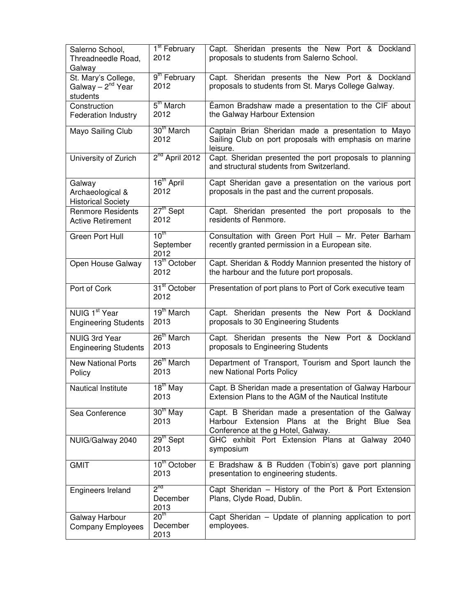| Salerno School,<br>Threadneedle Road,<br>Galway                  | 1 <sup>st</sup> February<br>2012      | Capt. Sheridan presents the New Port & Dockland<br>proposals to students from Salerno School.                                              |
|------------------------------------------------------------------|---------------------------------------|--------------------------------------------------------------------------------------------------------------------------------------------|
| St. Mary's College,<br>Galway - 2 <sup>nd</sup> Year<br>students | 9 <sup>th</sup> February<br>2012      | Capt. Sheridan presents the New Port & Dockland<br>proposals to students from St. Marys College Galway.                                    |
| Construction<br><b>Federation Industry</b>                       | 5 <sup>th</sup> March<br>2012         | Éamon Bradshaw made a presentation to the CIF about<br>the Galway Harbour Extension                                                        |
| Mayo Sailing Club                                                | 30 <sup>th</sup> March<br>2012        | Captain Brian Sheridan made a presentation to Mayo<br>Sailing Club on port proposals with emphasis on marine<br>leisure.                   |
| University of Zurich                                             | $2nd$ April 2012                      | Capt. Sheridan presented the port proposals to planning<br>and structural students from Switzerland.                                       |
| Galway<br>Archaeological &<br><b>Historical Society</b>          | 16 <sup>th</sup> April<br>2012        | Capt Sheridan gave a presentation on the various port<br>proposals in the past and the current proposals.                                  |
| <b>Renmore Residents</b><br><b>Active Retirement</b>             | $27th$ Sept<br>2012                   | Capt. Sheridan presented the port proposals to the<br>residents of Renmore.                                                                |
| <b>Green Port Hull</b>                                           | $10^{\text{th}}$<br>September<br>2012 | Consultation with Green Port Hull - Mr. Peter Barham<br>recently granted permission in a European site.                                    |
| Open House Galway                                                | 13 <sup>th</sup> October<br>2012      | Capt. Sheridan & Roddy Mannion presented the history of<br>the harbour and the future port proposals.                                      |
| Port of Cork                                                     | 31 <sup>st</sup> October<br>2012      | Presentation of port plans to Port of Cork executive team                                                                                  |
| NUIG 1 <sup>st</sup> Year<br><b>Engineering Students</b>         | 19 <sup>th</sup> March<br>2013        | Capt. Sheridan presents the New Port & Dockland<br>proposals to 30 Engineering Students                                                    |
| <b>NUIG 3rd Year</b><br><b>Engineering Students</b>              | 26 <sup>th</sup> March<br>2013        | Capt. Sheridan presents the New Port & Dockland<br>proposals to Engineering Students                                                       |
| <b>New National Ports</b><br>Policy                              | 26 <sup>th</sup> March<br>2013        | Department of Transport, Tourism and Sport launch the<br>new National Ports Policy                                                         |
| <b>Nautical Institute</b>                                        | $18^{\text{th}}$ May<br>2013          | Capt. B Sheridan made a presentation of Galway Harbour<br>Extension Plans to the AGM of the Nautical Institute                             |
| Sea Conference                                                   | $30th$ May<br>2013                    | Capt. B Sheridan made a presentation of the Galway<br>Harbour Extension Plans at the Bright Blue Sea<br>Conference at the g Hotel, Galway. |
| NUIG/Galway 2040                                                 | 29 <sup>th</sup> Sept<br>2013         | GHC exhibit Port Extension Plans at Galway 2040<br>symposium                                                                               |
| <b>GMIT</b>                                                      | 10 <sup>th</sup> October<br>2013      | E Bradshaw & B Rudden (Tobin's) gave port planning<br>presentation to engineering students.                                                |
| Engineers Ireland                                                | $2^{nd}$<br>December<br>2013          | Capt Sheridan - History of the Port & Port Extension<br>Plans, Clyde Road, Dublin.                                                         |
| Galway Harbour<br><b>Company Employees</b>                       | 20 <sup>th</sup><br>December<br>2013  | Capt Sheridan - Update of planning application to port<br>employees.                                                                       |